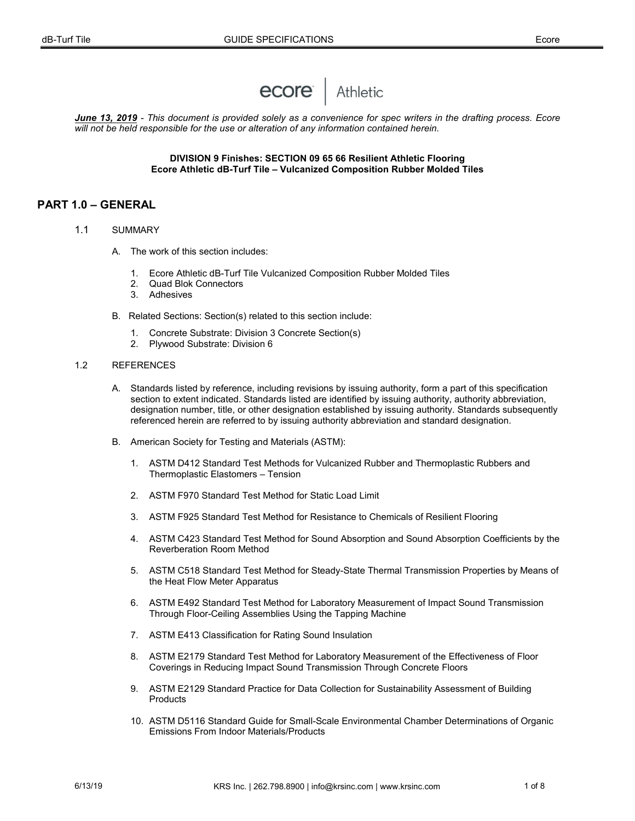# ecore Athletic

*June 13, 2019 - This document is provided solely as a convenience for spec writers in the drafting process. Ecore will not be held responsible for the use or alteration of any information contained herein.*

#### **DIVISION 9 Finishes: SECTION 09 65 66 Resilient Athletic Flooring Ecore Athletic dB-Turf Tile – Vulcanized Composition Rubber Molded Tiles**

## **PART 1.0 – GENERAL**

- 1.1 SUMMARY
	- A. The work of this section includes:
		- 1. Ecore Athletic dB-Turf Tile Vulcanized Composition Rubber Molded Tiles<br>2. Ouad Blok Connectors
		- Quad Blok Connectors
		- 3. Adhesives
	- B. Related Sections: Section(s) related to this section include:
		- 1. Concrete Substrate: Division 3 Concrete Section(s)
		- 2. Plywood Substrate: Division 6

#### 1.2 REFERENCES

- A. Standards listed by reference, including revisions by issuing authority, form a part of this specification section to extent indicated. Standards listed are identified by issuing authority, authority abbreviation, designation number, title, or other designation established by issuing authority. Standards subsequently referenced herein are referred to by issuing authority abbreviation and standard designation.
- B. American Society for Testing and Materials (ASTM):
	- 1. ASTM D412 Standard Test Methods for Vulcanized Rubber and Thermoplastic Rubbers and Thermoplastic Elastomers – Tension
	- 2. ASTM F970 Standard Test Method for Static Load Limit
	- 3. ASTM F925 Standard Test Method for Resistance to Chemicals of Resilient Flooring
	- 4. ASTM C423 Standard Test Method for Sound Absorption and Sound Absorption Coefficients by the Reverberation Room Method
	- 5. ASTM C518 Standard Test Method for Steady-State Thermal Transmission Properties by Means of the Heat Flow Meter Apparatus
	- 6. ASTM E492 Standard Test Method for Laboratory Measurement of Impact Sound Transmission Through Floor-Ceiling Assemblies Using the Tapping Machine
	- 7. ASTM E413 Classification for Rating Sound Insulation
	- 8. ASTM E2179 Standard Test Method for Laboratory Measurement of the Effectiveness of Floor Coverings in Reducing Impact Sound Transmission Through Concrete Floors
	- 9. ASTM E2129 Standard Practice for Data Collection for Sustainability Assessment of Building **Products**
	- 10. ASTM D5116 Standard Guide for Small-Scale Environmental Chamber Determinations of Organic Emissions From Indoor Materials/Products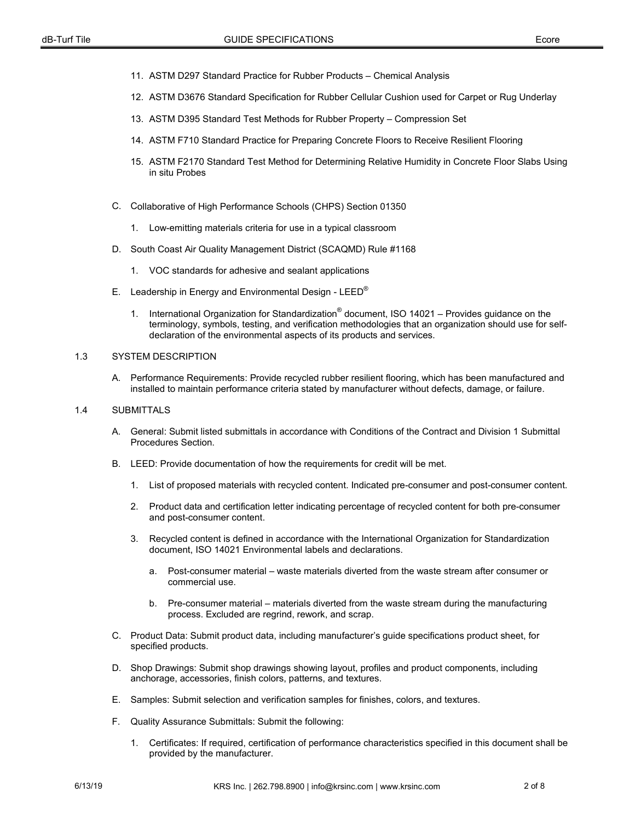- 11. ASTM D297 Standard Practice for Rubber Products Chemical Analysis
- 12. ASTM D3676 Standard Specification for Rubber Cellular Cushion used for Carpet or Rug Underlay
- 13. ASTM D395 Standard Test Methods for Rubber Property Compression Set
- 14. ASTM F710 Standard Practice for Preparing Concrete Floors to Receive Resilient Flooring
- 15. ASTM F2170 Standard Test Method for Determining Relative Humidity in Concrete Floor Slabs Using in situ Probes
- C. Collaborative of High Performance Schools (CHPS) Section 01350
	- 1. Low-emitting materials criteria for use in a typical classroom
- D. South Coast Air Quality Management District (SCAQMD) Rule #1168
	- 1. VOC standards for adhesive and sealant applications
- E. Leadership in Energy and Environmental Design LEED<sup>®</sup>
	- 1. International Organization for Standardization® document, ISO 14021 Provides guidance on the terminology, symbols, testing, and verification methodologies that an organization should use for selfdeclaration of the environmental aspects of its products and services.

#### 1.3 SYSTEM DESCRIPTION

A. Performance Requirements: Provide recycled rubber resilient flooring, which has been manufactured and installed to maintain performance criteria stated by manufacturer without defects, damage, or failure.

#### 1.4 SUBMITTALS

- A. General: Submit listed submittals in accordance with Conditions of the Contract and Division 1 Submittal Procedures Section.
- B. LEED: Provide documentation of how the requirements for credit will be met.
	- 1. List of proposed materials with recycled content. Indicated pre-consumer and post-consumer content.
	- 2. Product data and certification letter indicating percentage of recycled content for both pre-consumer and post-consumer content.
	- 3. Recycled content is defined in accordance with the International Organization for Standardization document, ISO 14021 Environmental labels and declarations.
		- a. Post-consumer material waste materials diverted from the waste stream after consumer or commercial use.
		- b. Pre-consumer material materials diverted from the waste stream during the manufacturing process. Excluded are regrind, rework, and scrap.
- C. Product Data: Submit product data, including manufacturer's guide specifications product sheet, for specified products.
- D. Shop Drawings: Submit shop drawings showing layout, profiles and product components, including anchorage, accessories, finish colors, patterns, and textures.
- E. Samples: Submit selection and verification samples for finishes, colors, and textures.
- F. Quality Assurance Submittals: Submit the following:
	- 1. Certificates: If required, certification of performance characteristics specified in this document shall be provided by the manufacturer.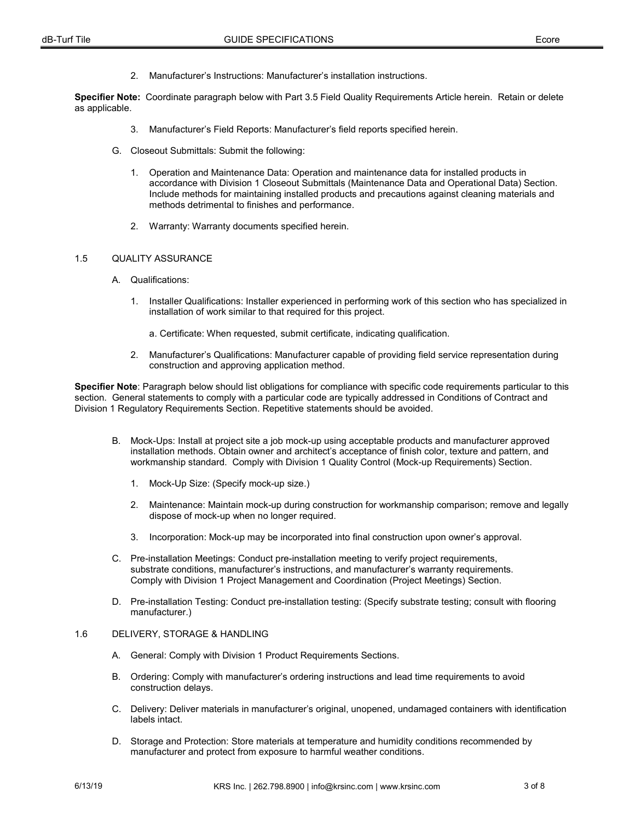2. Manufacturer's Instructions: Manufacturer's installation instructions.

**Specifier Note:** Coordinate paragraph below with Part 3.5 Field Quality Requirements Article herein. Retain or delete as applicable.

- 3. Manufacturer's Field Reports: Manufacturer's field reports specified herein.
- G. Closeout Submittals: Submit the following:
	- 1. Operation and Maintenance Data: Operation and maintenance data for installed products in accordance with Division 1 Closeout Submittals (Maintenance Data and Operational Data) Section. Include methods for maintaining installed products and precautions against cleaning materials and methods detrimental to finishes and performance.
	- 2. Warranty: Warranty documents specified herein.

#### 1.5 QUALITY ASSURANCE

- A. Qualifications:
	- 1. Installer Qualifications: Installer experienced in performing work of this section who has specialized in installation of work similar to that required for this project.
		- a. Certificate: When requested, submit certificate, indicating qualification.
	- 2. Manufacturer's Qualifications: Manufacturer capable of providing field service representation during construction and approving application method.

**Specifier Note**: Paragraph below should list obligations for compliance with specific code requirements particular to this section. General statements to comply with a particular code are typically addressed in Conditions of Contract and Division 1 Regulatory Requirements Section. Repetitive statements should be avoided.

- B. Mock-Ups: Install at project site a job mock-up using acceptable products and manufacturer approved installation methods. Obtain owner and architect's acceptance of finish color, texture and pattern, and workmanship standard. Comply with Division 1 Quality Control (Mock-up Requirements) Section.
	- 1. Mock-Up Size: (Specify mock-up size.)
	- 2. Maintenance: Maintain mock-up during construction for workmanship comparison; remove and legally dispose of mock-up when no longer required.
	- 3. Incorporation: Mock-up may be incorporated into final construction upon owner's approval.
- C. Pre-installation Meetings: Conduct pre-installation meeting to verify project requirements, substrate conditions, manufacturer's instructions, and manufacturer's warranty requirements. Comply with Division 1 Project Management and Coordination (Project Meetings) Section.
- D. Pre-installation Testing: Conduct pre-installation testing: (Specify substrate testing; consult with flooring manufacturer.)

## 1.6 DELIVERY, STORAGE & HANDLING

- A. General: Comply with Division 1 Product Requirements Sections.
- B. Ordering: Comply with manufacturer's ordering instructions and lead time requirements to avoid construction delays.
- C. Delivery: Deliver materials in manufacturer's original, unopened, undamaged containers with identification labels intact.
- D. Storage and Protection: Store materials at temperature and humidity conditions recommended by manufacturer and protect from exposure to harmful weather conditions.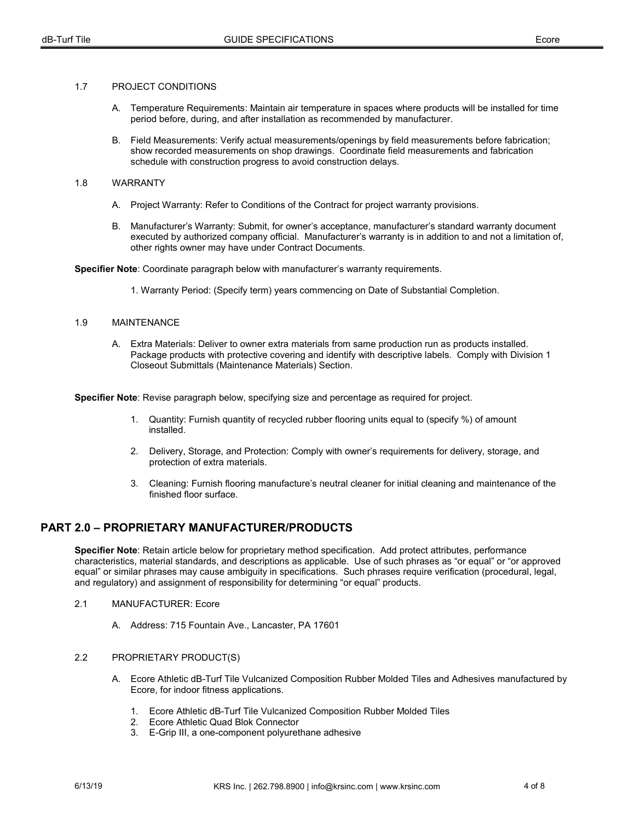#### 1.7 PROJECT CONDITIONS

- A. Temperature Requirements: Maintain air temperature in spaces where products will be installed for time period before, during, and after installation as recommended by manufacturer.
- B. Field Measurements: Verify actual measurements/openings by field measurements before fabrication; show recorded measurements on shop drawings. Coordinate field measurements and fabrication schedule with construction progress to avoid construction delays.

#### 1.8 WARRANTY

- A. Project Warranty: Refer to Conditions of the Contract for project warranty provisions.
- B. Manufacturer's Warranty: Submit, for owner's acceptance, manufacturer's standard warranty document executed by authorized company official. Manufacturer's warranty is in addition to and not a limitation of, other rights owner may have under Contract Documents.

**Specifier Note**: Coordinate paragraph below with manufacturer's warranty requirements.

1. Warranty Period: (Specify term) years commencing on Date of Substantial Completion.

#### 1.9 MAINTENANCE

A. Extra Materials: Deliver to owner extra materials from same production run as products installed. Package products with protective covering and identify with descriptive labels. Comply with Division 1 Closeout Submittals (Maintenance Materials) Section.

**Specifier Note**: Revise paragraph below, specifying size and percentage as required for project.

- 1. Quantity: Furnish quantity of recycled rubber flooring units equal to (specify %) of amount installed.
- 2. Delivery, Storage, and Protection: Comply with owner's requirements for delivery, storage, and protection of extra materials.
- 3. Cleaning: Furnish flooring manufacture's neutral cleaner for initial cleaning and maintenance of the finished floor surface.

## **PART 2.0 – PROPRIETARY MANUFACTURER/PRODUCTS**

**Specifier Note**: Retain article below for proprietary method specification. Add protect attributes, performance characteristics, material standards, and descriptions as applicable. Use of such phrases as "or equal" or "or approved equal" or similar phrases may cause ambiguity in specifications. Such phrases require verification (procedural, legal, and regulatory) and assignment of responsibility for determining "or equal" products.

- 2.1 MANUFACTURER: Ecore
	- A. Address: 715 Fountain Ave., Lancaster, PA 17601
- 2.2 PROPRIETARY PRODUCT(S)
	- A. Ecore Athletic dB-Turf Tile Vulcanized Composition Rubber Molded Tiles and Adhesives manufactured by Ecore, for indoor fitness applications.
		- 1. Ecore Athletic dB-Turf Tile Vulcanized Composition Rubber Molded Tiles
		- 2. Ecore Athletic Quad Blok Connector
		- 3. E-Grip III, a one-component polyurethane adhesive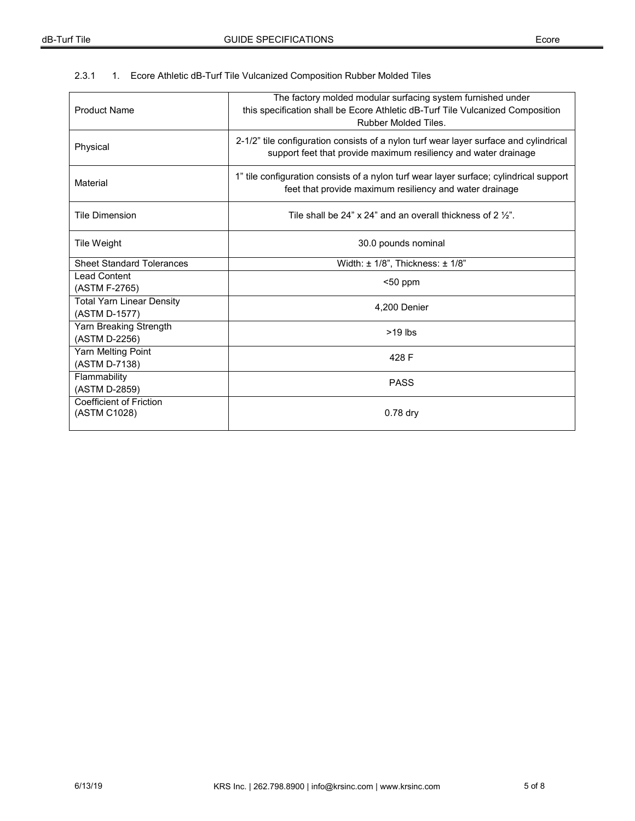## 2.3.1 1. Ecore Athletic dB-Turf Tile Vulcanized Composition Rubber Molded Tiles

| <b>Product Name</b>                               | The factory molded modular surfacing system furnished under<br>this specification shall be Ecore Athletic dB-Turf Tile Vulcanized Composition<br>Rubber Molded Tiles. |  |  |
|---------------------------------------------------|-----------------------------------------------------------------------------------------------------------------------------------------------------------------------|--|--|
| Physical                                          | 2-1/2" tile configuration consists of a nylon turf wear layer surface and cylindrical<br>support feet that provide maximum resiliency and water drainage              |  |  |
| Material                                          | 1" tile configuration consists of a nylon turf wear layer surface; cylindrical support<br>feet that provide maximum resiliency and water drainage                     |  |  |
| <b>Tile Dimension</b>                             | Tile shall be 24" x 24" and an overall thickness of 2 %".                                                                                                             |  |  |
| Tile Weight                                       | 30.0 pounds nominal                                                                                                                                                   |  |  |
| <b>Sheet Standard Tolerances</b>                  | Width: $\pm$ 1/8", Thickness: $\pm$ 1/8"                                                                                                                              |  |  |
| <b>Lead Content</b><br>(ASTM F-2765)              | $50$ ppm                                                                                                                                                              |  |  |
| <b>Total Yarn Linear Density</b><br>(ASTM D-1577) | 4.200 Denier                                                                                                                                                          |  |  |
| Yarn Breaking Strength<br>(ASTM D-2256)           | $>19$ lbs                                                                                                                                                             |  |  |
| Yarn Melting Point<br>(ASTM D-7138)               | 428 F                                                                                                                                                                 |  |  |
| Flammability<br>(ASTM D-2859)                     | <b>PASS</b>                                                                                                                                                           |  |  |
| <b>Coefficient of Friction</b><br>(ASTM C1028)    | $0.78$ dry                                                                                                                                                            |  |  |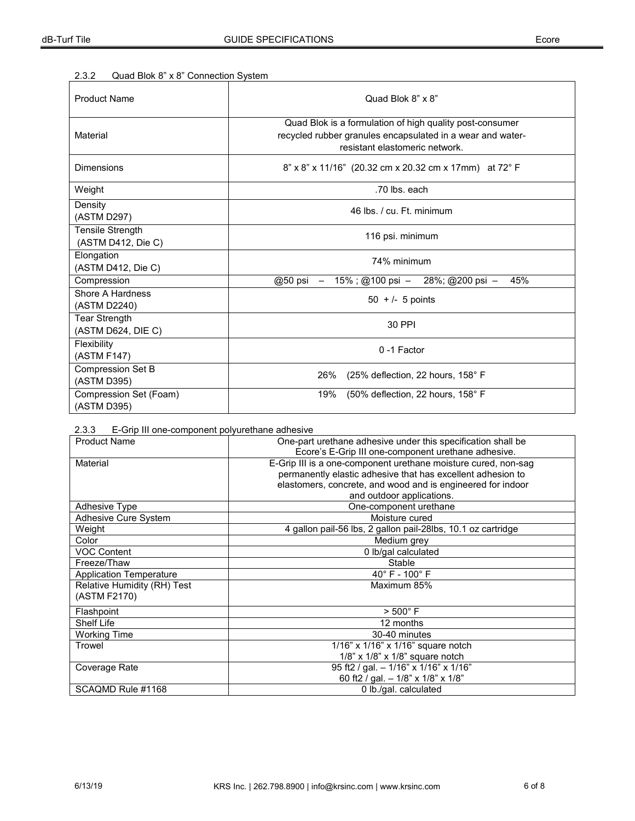## 2.3.2 Quad Blok 8" x 8" Connection System

| <b>Product Name</b>                        | Quad Blok 8" x 8"                                                                                                                                        |  |  |
|--------------------------------------------|----------------------------------------------------------------------------------------------------------------------------------------------------------|--|--|
| Material                                   | Quad Blok is a formulation of high quality post-consumer<br>recycled rubber granules encapsulated in a wear and water-<br>resistant elastomeric network. |  |  |
| Dimensions                                 | 8" x 8" x 11/16" (20.32 cm x 20.32 cm x 17mm) at 72° F                                                                                                   |  |  |
| Weight                                     | .70 lbs. each                                                                                                                                            |  |  |
| Density<br>(ASTM D297)                     | 46 lbs. / cu. Ft. minimum                                                                                                                                |  |  |
| Tensile Strength<br>(ASTM D412, Die C)     | 116 psi. minimum                                                                                                                                         |  |  |
| Elongation<br>(ASTM D412, Die C)           | 74% minimum                                                                                                                                              |  |  |
| Compression                                | 15%; @100 psi - 28%; @200 psi -<br>45%<br>@50 psi $-$                                                                                                    |  |  |
| Shore A Hardness<br>(ASTM D2240)           | $50 + 1 - 5$ points                                                                                                                                      |  |  |
| <b>Tear Strength</b><br>(ASTM D624, DIE C) | 30 PPI                                                                                                                                                   |  |  |
| Flexibility<br>(ASTM F147)                 | 0-1 Factor                                                                                                                                               |  |  |
| <b>Compression Set B</b><br>(ASTM D395)    | 26%<br>(25% deflection, 22 hours, 158° F                                                                                                                 |  |  |
| Compression Set (Foam)<br>(ASTM D395)      | 19%<br>(50% deflection, 22 hours, 158° F                                                                                                                 |  |  |

| 2.3.3 |  |  | E-Grip III one-component polyurethane adhesive |  |  |
|-------|--|--|------------------------------------------------|--|--|
|-------|--|--|------------------------------------------------|--|--|

| <b>Product Name</b>            | One-part urethane adhesive under this specification shall be   |  |  |
|--------------------------------|----------------------------------------------------------------|--|--|
|                                | Ecore's E-Grip III one-component urethane adhesive.            |  |  |
| Material                       | E-Grip III is a one-component urethane moisture cured, non-sag |  |  |
|                                | permanently elastic adhesive that has excellent adhesion to    |  |  |
|                                | elastomers, concrete, and wood and is engineered for indoor    |  |  |
|                                | and outdoor applications.                                      |  |  |
| Adhesive Type                  | One-component urethane                                         |  |  |
| Adhesive Cure System           | Moisture cured                                                 |  |  |
| Weight                         | 4 gallon pail-56 lbs, 2 gallon pail-28lbs, 10.1 oz cartridge   |  |  |
| Color                          | Medium grey                                                    |  |  |
| <b>VOC Content</b>             | 0 lb/gal calculated                                            |  |  |
| Freeze/Thaw                    | Stable                                                         |  |  |
| <b>Application Temperature</b> | $40^{\circ}$ F - $100^{\circ}$ F                               |  |  |
| Relative Humidity (RH) Test    | Maximum 85%                                                    |  |  |
| (ASTM F2170)                   |                                                                |  |  |
| Flashpoint                     | $> 500^{\circ}$ F                                              |  |  |
| Shelf Life                     | 12 months                                                      |  |  |
| <b>Working Time</b>            | 30-40 minutes                                                  |  |  |
| Trowel                         | 1/16" x 1/16" x 1/16" square notch                             |  |  |
|                                | $1/8$ " x $1/8$ " x $1/8$ " square notch                       |  |  |
| Coverage Rate                  | 95 ft2 / gal. $-1/16$ " x 1/16" x 1/16"                        |  |  |
|                                | 60 ft2 / gal. - 1/8" x 1/8" x 1/8"                             |  |  |
| SCAQMD Rule #1168              | 0 lb./gal. calculated                                          |  |  |